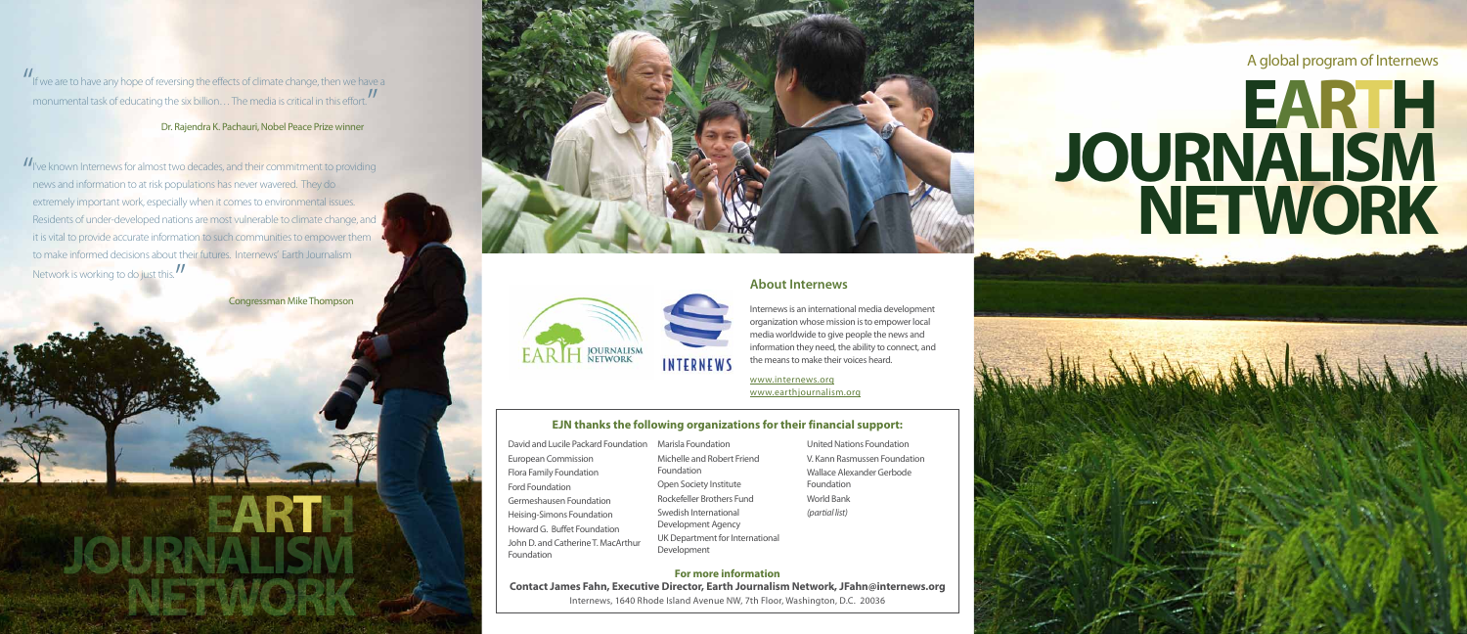

**For more information Contact James Fahn, Executive Director, Earth Journalism Network, JFahn@internews.org** Internews, 1640 Rhode Island Avenue NW, 7th Floor, Washington, D.C. 20036

# **EJN thanks the following organizations for their financial support:**

| David and Lucile Packard Foundation              |
|--------------------------------------------------|
| <b>European Commission</b>                       |
| <b>Flora Family Foundation</b>                   |
| <b>Ford Foundation</b>                           |
| Germeshausen Foundation                          |
| Heising-Simons Foundation                        |
| Howard G. Buffet Foundation                      |
| John D. and Catherine T. MacArthur<br>Foundation |
|                                                  |

Marisla Foundation Michelle and Robert Friend Foundation Open Society Institute Rockefeller Brothers Fund Swedish International Development Agency UK Department for International Development

- 
- United Nations Foundation V. Kann Rasmussen Foundation Wallace Alexander Gerbode Foundation World Bank *(partial list)*

## **About Internews**



Internews is an international media development organization whose mission is to empower local media worldwide to give people the news and information they need, the ability to connect, and the means to make their voices heard.

www.internews.org www.earthjournalism.org

**JOURNALISM**

**NETWORK**

Congressman Mike Thompson

**EARTH** 







" If we are to have any hope of reversing the effects of climate change, then we have a monumental task of educating the six billion... The media is critical in this effort. "

### Dr. Rajendra K. Pachauri, Nobel Peace Prize winner

|<br>|<br>| I've known Internews for almost two decades, and their commitment to providing news and information to at risk populations has never wavered. They do extremely important work, especially when it comes to environmental issues. Residents of under-developed nations are most vulnerable to climate change, and it is vital to provide accurate information to such communities to empower them to make informed decisions about their futures. Internews' Earth Journalism Network is working to do just this. |<br>|<br>|